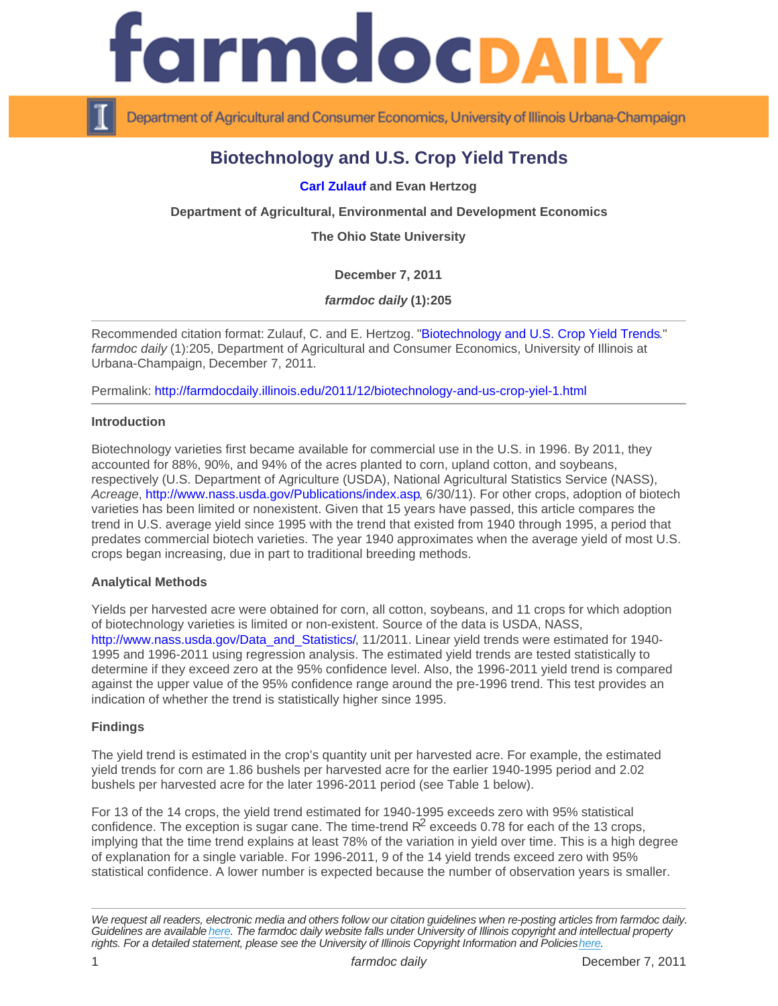# Biotechnology and U.S. Crop Yield Trends

[Carl Zulauf](http://aede.osu.edu/about-us/our-people/carl-zuluaf) and Evan Hertzog

Department of Agricultural, Environmental and Development Economics

The Ohio State University

December 7, 2011

farmdoc daily (1):205

Recommended citation format: Zulauf, C. and E. Hertzog. "[Biotechnology and U.S. Crop Yield Trends.](http://farmdocdaily.illinois.edu/2011/12/biotechnology-and-us-crop-yiel-1.html)" farmdoc daily (1):205, Department of Agricultural and Consumer Economics, University of Illinois at Urbana-Champaign, December 7, 2011.

Permalink:<http://farmdocdaily.illinois.edu/2011/12/biotechnology-and-us-crop-yiel-1.html>

**Introduction** 

Biotechnology varieties first became available for commercial use in the U.S. in 1996. By 2011, they accounted for 88%, 90%, and 94% of the acres planted to corn, upland cotton, and soybeans, respectively (U.S. Department of Agriculture (USDA), National Agricultural Statistics Service (NASS), Acreage, [http://www.nass.usda.gov/Publications/index.asp,](http://www.nass.usda.gov/Publications/index.asp) 6/30/11). For other crops, adoption of biotech varieties has been limited or nonexistent. Given that 15 years have passed, this article compares the trend in U.S. average yield since 1995 with the trend that existed from 1940 through 1995, a period that predates commercial biotech varieties. The year 1940 approximates when the average yield of most U.S. crops began increasing, due in part to traditional breeding methods.

## Analytical Methods

Yields per harvested acre were obtained for corn, all cotton, soybeans, and 11 crops for which adoption of biotechnology varieties is limited or non-existent. Source of the data is USDA, NASS, [http://www.nass.usda.gov/Data\\_and\\_Statistics/,](http://www.nass.usda.gov/Data_and_Statistics/) 11/2011. Linear yield trends were estimated for 1940-1995 and 1996-2011 using regression analysis. The estimated yield trends are tested statistically to determine if they exceed zero at the 95% confidence level. Also, the 1996-2011 yield trend is compared against the upper value of the 95% confidence range around the pre-1996 trend. This test provides an indication of whether the trend is statistically higher since 1995.

#### Findings

The yield trend is estimated in the crop's quantity unit per harvested acre. For example, the estimated yield trends for corn are 1.86 bushels per harvested acre for the earlier 1940-1995 period and 2.02 bushels per harvested acre for the later 1996-2011 period (see Table 1 below).

For 13 of the 14 crops, the yield trend estimated for 1940-1995 exceeds zero with 95% statistical confidence. The exception is sugar cane. The time-trend  $R^2$  exceeds 0.78 for each of the 13 crops, implying that the time trend explains at least 78% of the variation in yield over time. This is a high degree of explanation for a single variable. For 1996-2011, 9 of the 14 yield trends exceed zero with 95% statistical confidence. A lower number is expected because the number of observation years is smaller.

We request all readers, electronic media and others follow our citation guidelines when re-posting articles from farmdoc daily. Guidelines are available [here](http://farmdocdaily.illinois.edu/citationguide.html). The farmdoc daily website falls under University of Illinois copyright and intellectual property rights. For a detailed statement, please see the University of Illinois Copyright Information and Policies [here.](https://techservices.illinois.edu/office-cio)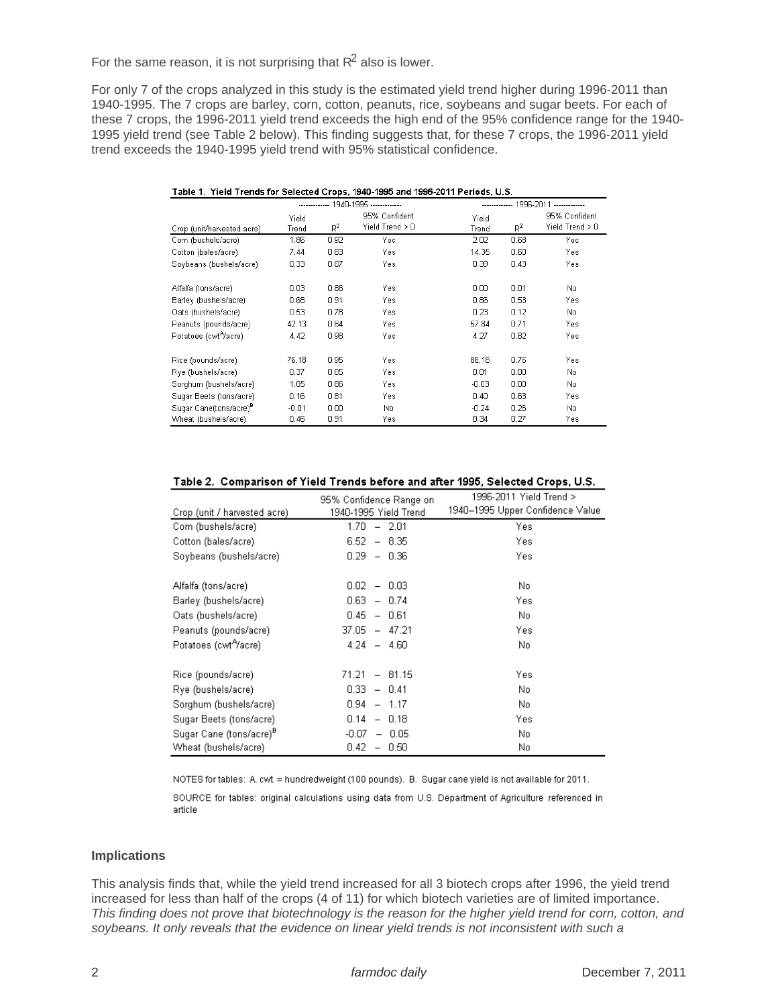For the same reason, it is not surprising that  $R^2$  also is lower.

For only 7 of the crops analyzed in this study is the estimated yield trend higher during 1996-2011 than 1940-1995. The 7 crops are barley, corn, cotton, peanuts, rice, soybeans and sugar beets. For each of these 7 crops, the 1996-2011 yield trend exceeds the high end of the 95% confidence range for the 1940- 1995 yield trend (see Table 2 below). This finding suggests that, for these 7 crops, the 1996-2011 yield trend exceeds the 1940-1995 yield trend with 95% statistical confidence.

| Table 1. Yield Trends for Selected Crops, 1940-1995 and 1996-2011 Periods, U.S. |                                       |       |                                    |                         |       |                                    |  |
|---------------------------------------------------------------------------------|---------------------------------------|-------|------------------------------------|-------------------------|-------|------------------------------------|--|
|                                                                                 | ------------- 1940-1995 ------------- |       |                                    | 1996-2011 ------------- |       |                                    |  |
| Crop (unit/harvested acre)                                                      | Yield<br>Trend                        | $R^2$ | 95% Confident<br>Yield $Trend > 0$ | Yield<br>Trend          | $R^2$ | 95% Confident<br>Yield $Trend > 0$ |  |
| Corn (bushels/acre)                                                             | 1.86                                  | 0.92  | Yes                                | 2.02                    | 0.68  | Yes                                |  |
| Cotton (bales/acre)                                                             | 7.44                                  | 0.83  | Yes.                               | 14.35                   | 0.60  | Yes                                |  |
| Soybeans (bushels/acre)                                                         | 0.33                                  | 0.87  | Yes                                | 0.39                    | 0.43  | Yes                                |  |
| Alfalfa (tons/acre)                                                             | 0.03                                  | 0.86  | Yes.                               | 0.00                    | 0.01  | No.                                |  |
| Barley (bushels/acre)                                                           | 0.68                                  | 0.91  | Yes                                | 0.86                    | 0.53  | Yes                                |  |
| Oats (bushels/acre)                                                             | 0.53                                  | 0.78  | Yes                                | 0.23                    | 0.12  | No                                 |  |
| Peanuts (pounds/acre)                                                           | 42.13                                 | 0.84  | Yes                                | 57.84                   | 0.71  | Yes.                               |  |
| Potatoes (cwt <sup>Ay</sup> acre)                                               | 4.42                                  | 0.98  | Yes                                | 4.27                    | 0.82  | Yes                                |  |
| Rice (pounds/acre)                                                              | 76.18                                 | 0.95  | Yes.                               | 88.18                   | 0.76  | Yes.                               |  |
| Rye (bushels/acre)                                                              | 0.37                                  | 0.85  | Yes.                               | 0.01                    | 0.00  | No.                                |  |
| Sorghum (bushels/acre)                                                          | 1.05                                  | 0.86  | Yes.                               | $-0.03$                 | 0.00  | No.                                |  |
| Sugar Beets (tons/acre)                                                         | 0.16                                  | 0.81  | Yes.                               | 0.40                    | 0.63  | Yes                                |  |
| Sugar Cane(tons/acre) <sup>B</sup>                                              | $-0.01$                               | 0.00  | No.                                | $-0.24$                 | 0.26  | No.                                |  |
| Wheat (bushels/acre)                                                            | 0.46                                  | 0.91  | Yes.                               | 0.34                    | 0.27  | Yes                                |  |

#### Table 2. Comparison of Yield Trends before and after 1995, Selected Crops, U.S.

| Crop (unit / harvested acre)        | 95% Confidence Range on<br>1940-1995 Yield Trend | 1996-2011 Yield Trend ><br>1940–1995 Upper Confidence Value |
|-------------------------------------|--------------------------------------------------|-------------------------------------------------------------|
| Corn (bushels/acre)                 | 1.70<br>$-2.01$                                  | Yes.                                                        |
| Cotton (bales/acre)                 | 6.52<br>$-8.35$                                  | Yes.                                                        |
| Soybeans (bushels/acre)             | 0.29<br>$-0.36$                                  | Yes.                                                        |
| Alfalfa (tons/acre)                 | 0.02<br>$-0.03$                                  | No.                                                         |
| Barley (bushels/acre)               | 0.63<br>$-0.74$                                  | Yes.                                                        |
| Oats (bushels/acre)                 | $0.45 - 0.61$                                    | No.                                                         |
| Peanuts (pounds/acre)               | $37.05 - 47.21$                                  | Yes.                                                        |
| Potatoes (cwt <sup>A</sup> /acre)   | $4.24 - 4.60$                                    | No.                                                         |
| Rice (pounds/acre)                  | $71.21 - 81.15$                                  | Yes                                                         |
| Rye (bushels/acre)                  | $0.33 - 0.41$                                    | No.                                                         |
| Sorghum (bushels/acre)              | $0.94 - 1.17$                                    | No.                                                         |
| Sugar Beets (tons/acre)             | $0.14 - 0.18$                                    | Yes.                                                        |
| Sugar Cane (tons/acre) <sup>B</sup> | -0.07<br>$-0.05$                                 | No.                                                         |
| Wheat (bushels/acre)                | 0.42<br>$-0.50$                                  | No                                                          |

NOTES for tables: A. cwt. = hundredweight (100 pounds). B. Sugar cane yield is not available for 2011.

SOURCE for tables: original calculations using data from U.S. Department of Agriculture referenced in article

### **Implications**

This analysis finds that, while the yield trend increased for all 3 biotech crops after 1996, the yield trend increased for less than half of the crops (4 of 11) for which biotech varieties are of limited importance. This finding does not prove that biotechnology is the reason for the higher yield trend for corn, cotton, and soybeans. It only reveals that the evidence on linear yield trends is not inconsistent with such a